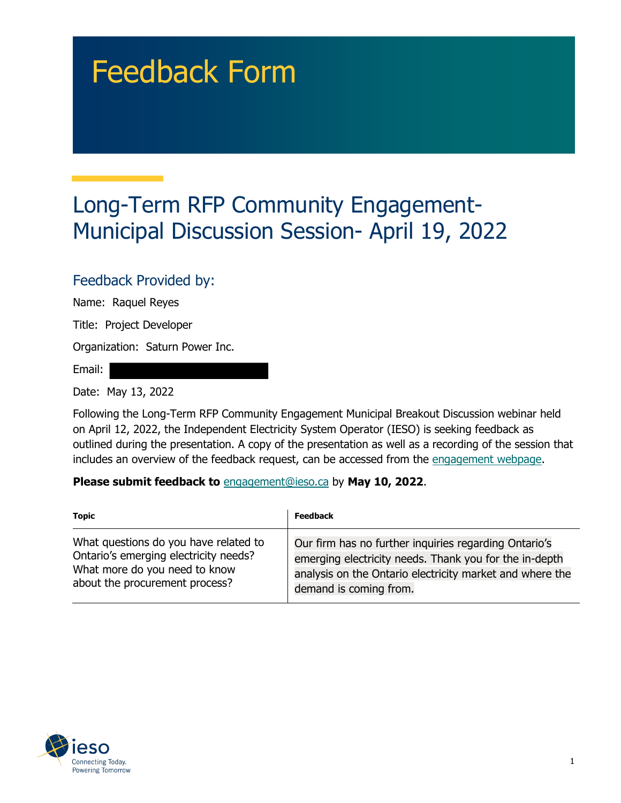## Feedback Form

## Long-Term RFP Community Engagement-Municipal Discussion Session- April 19, 2022

## Feedback Provided by:

Name: Raquel Reyes

Title: Project Developer

Organization: Saturn Power Inc.

Email:

Date: May 13, 2022

Following the Long-Term RFP Community Engagement Municipal Breakout Discussion webinar held on April 12, 2022, the Independent Electricity System Operator (IESO) is seeking feedback as outlined during the presentation. A copy of the presentation as well as a recording of the session that includes an overview of the feedback request, can be accessed from the [engagement webpage.](https://www.ieso.ca/en/Sector-Participants/Engagement-Initiatives/Engagements/Long-Term-RFP-Community-Engagement)

**Please submit feedback to** engagement@ieso.ca by **May 10, 2022**.

| <b>Topic</b>                          | <b>Feedback</b>                                          |
|---------------------------------------|----------------------------------------------------------|
| What questions do you have related to | Our firm has no further inquiries regarding Ontario's    |
| Ontario's emerging electricity needs? | emerging electricity needs. Thank you for the in-depth   |
| What more do you need to know         | analysis on the Ontario electricity market and where the |
| about the procurement process?        | demand is coming from.                                   |

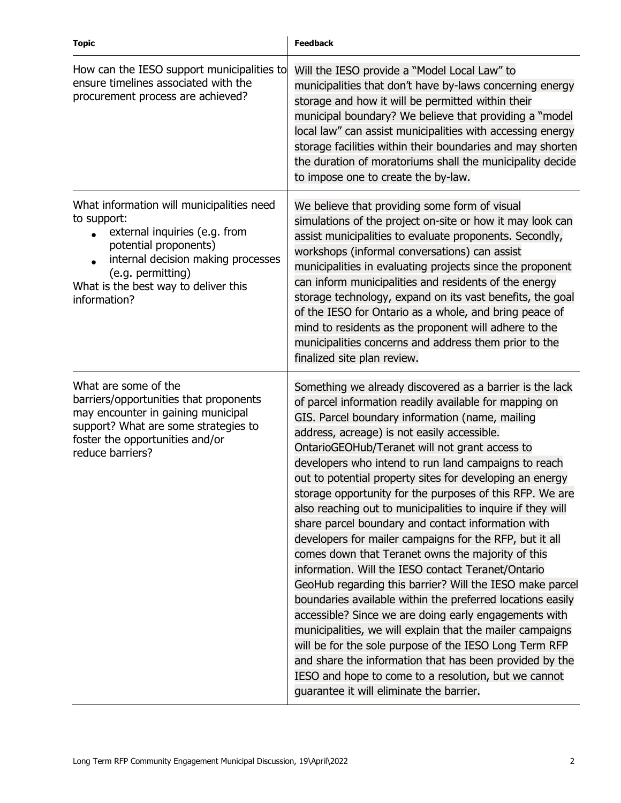| <b>Topic</b>                                                                                                                                                                                                                          | <b>Feedback</b>                                                                                                                                                                                                                                                                                                                                                                                                                                                                                                                                                                                                                                                                                                                                                                                                                                                                                                                                                                                                                                                                                                                                                                                                            |
|---------------------------------------------------------------------------------------------------------------------------------------------------------------------------------------------------------------------------------------|----------------------------------------------------------------------------------------------------------------------------------------------------------------------------------------------------------------------------------------------------------------------------------------------------------------------------------------------------------------------------------------------------------------------------------------------------------------------------------------------------------------------------------------------------------------------------------------------------------------------------------------------------------------------------------------------------------------------------------------------------------------------------------------------------------------------------------------------------------------------------------------------------------------------------------------------------------------------------------------------------------------------------------------------------------------------------------------------------------------------------------------------------------------------------------------------------------------------------|
| How can the IESO support municipalities to<br>ensure timelines associated with the<br>procurement process are achieved?                                                                                                               | Will the IESO provide a "Model Local Law" to<br>municipalities that don't have by-laws concerning energy<br>storage and how it will be permitted within their<br>municipal boundary? We believe that providing a "model"<br>local law" can assist municipalities with accessing energy<br>storage facilities within their boundaries and may shorten<br>the duration of moratoriums shall the municipality decide<br>to impose one to create the by-law.                                                                                                                                                                                                                                                                                                                                                                                                                                                                                                                                                                                                                                                                                                                                                                   |
| What information will municipalities need<br>to support:<br>external inquiries (e.g. from<br>potential proponents)<br>internal decision making processes<br>(e.g. permitting)<br>What is the best way to deliver this<br>information? | We believe that providing some form of visual<br>simulations of the project on-site or how it may look can<br>assist municipalities to evaluate proponents. Secondly,<br>workshops (informal conversations) can assist<br>municipalities in evaluating projects since the proponent<br>can inform municipalities and residents of the energy<br>storage technology, expand on its vast benefits, the goal<br>of the IESO for Ontario as a whole, and bring peace of<br>mind to residents as the proponent will adhere to the<br>municipalities concerns and address them prior to the<br>finalized site plan review.                                                                                                                                                                                                                                                                                                                                                                                                                                                                                                                                                                                                       |
| What are some of the<br>barriers/opportunities that proponents<br>may encounter in gaining municipal<br>support? What are some strategies to<br>foster the opportunities and/or<br>reduce barriers?                                   | Something we already discovered as a barrier is the lack<br>of parcel information readily available for mapping on<br>GIS. Parcel boundary information (name, mailing<br>address, acreage) is not easily accessible.<br>OntarioGEOHub/Teranet will not grant access to<br>developers who intend to run land campaigns to reach<br>out to potential property sites for developing an energy<br>storage opportunity for the purposes of this RFP. We are<br>also reaching out to municipalities to inquire if they will<br>share parcel boundary and contact information with<br>developers for mailer campaigns for the RFP, but it all<br>comes down that Teranet owns the majority of this<br>information. Will the IESO contact Teranet/Ontario<br>GeoHub regarding this barrier? Will the IESO make parcel<br>boundaries available within the preferred locations easily<br>accessible? Since we are doing early engagements with<br>municipalities, we will explain that the mailer campaigns<br>will be for the sole purpose of the IESO Long Term RFP<br>and share the information that has been provided by the<br>IESO and hope to come to a resolution, but we cannot<br>guarantee it will eliminate the barrier. |